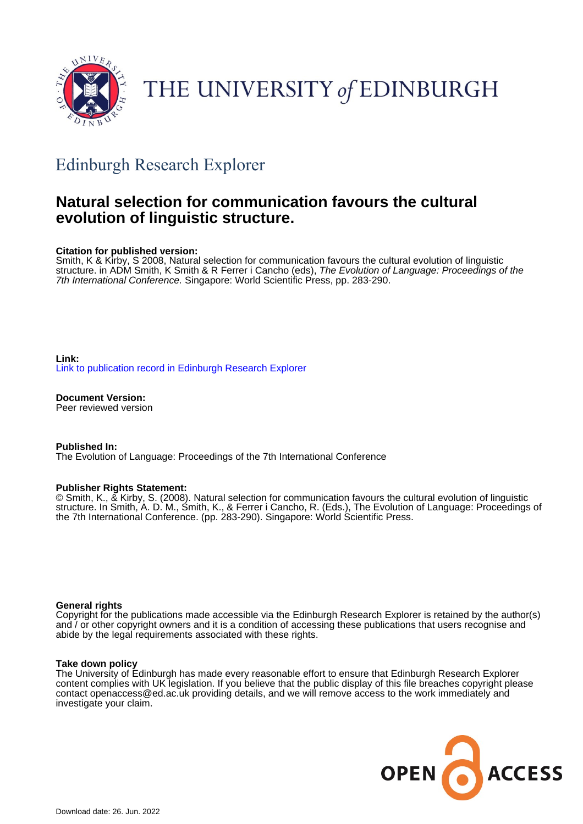

# THE UNIVERSITY of EDINBURGH

## Edinburgh Research Explorer

### **Natural selection for communication favours the cultural evolution of linguistic structure.**

#### **Citation for published version:**

Smith, K & Kirby, S 2008, Natural selection for communication favours the cultural evolution of linguistic structure. in ADM Smith, K Smith & R Ferrer i Cancho (eds), The Evolution of Language: Proceedings of the 7th International Conference. Singapore: World Scientific Press, pp. 283-290.

**Link:** [Link to publication record in Edinburgh Research Explorer](https://www.research.ed.ac.uk/en/publications/017f4efb-f508-429c-b1df-4f0f9f6a3432)

**Document Version:** Peer reviewed version

**Published In:**

The Evolution of Language: Proceedings of the 7th International Conference

#### **Publisher Rights Statement:**

© Smith, K., & Kirby, S. (2008). Natural selection for communication favours the cultural evolution of linguistic structure. In Smith, A. D. M., Smith, K., & Ferrer i Cancho, R. (Eds.), The Evolution of Language: Proceedings of the 7th International Conference. (pp. 283-290). Singapore: World Scientific Press.

#### **General rights**

Copyright for the publications made accessible via the Edinburgh Research Explorer is retained by the author(s) and / or other copyright owners and it is a condition of accessing these publications that users recognise and abide by the legal requirements associated with these rights.

#### **Take down policy**

The University of Edinburgh has made every reasonable effort to ensure that Edinburgh Research Explorer content complies with UK legislation. If you believe that the public display of this file breaches copyright please contact openaccess@ed.ac.uk providing details, and we will remove access to the work immediately and investigate your claim.

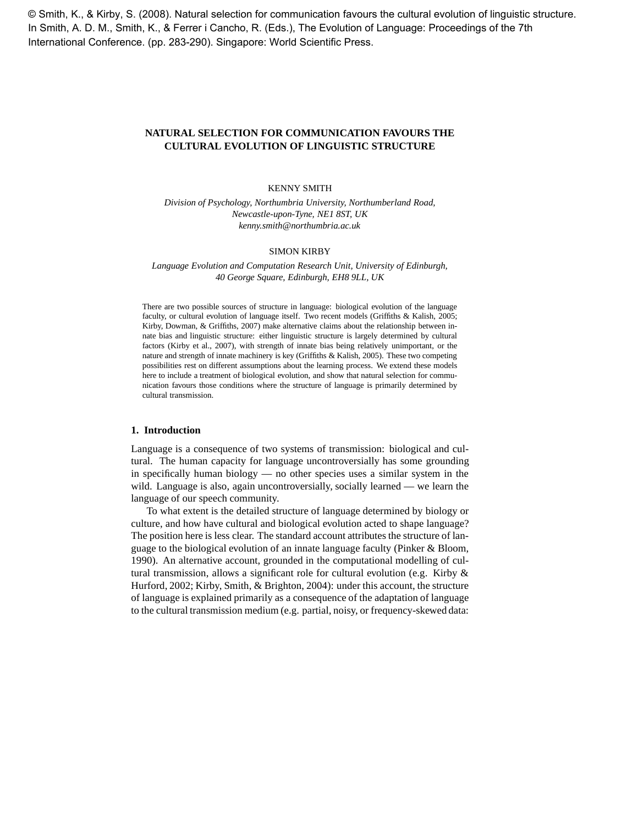© Smith, K., & Kirby, S. (2008). Natural selection for communication favours the cultural evolution of linguistic structure. In Smith, A. D. M., Smith, K., & Ferrer i Cancho, R. (Eds.), The Evolution of Language: Proceedings of the 7th International Conference. (pp. 283-290). Singapore: World Scientific Press.

#### **NATURAL SELECTION FOR COMMUNICATION FAVOURS THE CULTURAL EVOLUTION OF LINGUISTIC STRUCTURE**

#### KENNY SMITH

*Division of Psychology, Northumbria University, Northumberland Road, Newcastle-upon-Tyne, NE1 8ST, UK kenny.smith@northumbria.ac.uk*

#### SIMON KIRBY

#### *Language Evolution and Computation Research Unit, University of Edinburgh, 40 George Square, Edinburgh, EH8 9LL, UK*

There are two possible sources of structure in language: biological evolution of the language faculty, or cultural evolution of language itself. Two recent models (Griffiths & Kalish, 2005; Kirby, Dowman, & Griffiths, 2007) make alternative claims about the relationship between innate bias and linguistic structure: either linguistic structure is largely determined by cultural factors (Kirby et al., 2007), with strength of innate bias being relatively unimportant, or the nature and strength of innate machinery is key (Griffiths & Kalish, 2005). These two competing possibilities rest on different assumptions about the learning process. We extend these models here to include a treatment of biological evolution, and show that natural selection for communication favours those conditions where the structure of language is primarily determined by cultural transmission.

#### **1. Introduction**

Language is a consequence of two systems of transmission: biological and cultural. The human capacity for language uncontroversially has some grounding in specifically human biology — no other species uses a similar system in the wild. Language is also, again uncontroversially, socially learned — we learn the language of our speech community.

To what extent is the detailed structure of language determined by biology or culture, and how have cultural and biological evolution acted to shape language? The position here is less clear. The standard account attributes the structure of language to the biological evolution of an innate language faculty (Pinker & Bloom, 1990). An alternative account, grounded in the computational modelling of cultural transmission, allows a significant role for cultural evolution (e.g. Kirby & Hurford, 2002; Kirby, Smith, & Brighton, 2004): under this account, the structure of language is explained primarily as a consequence of the adaptation of language to the cultural transmission medium (e.g. partial, noisy, or frequency-skewed data: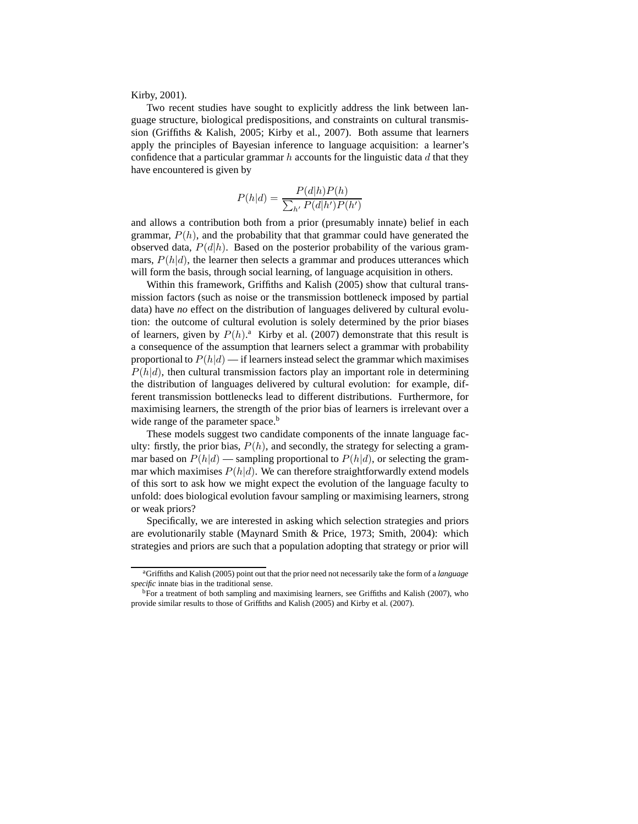Kirby, 2001).

Two recent studies have sought to explicitly address the link between language structure, biological predispositions, and constraints on cultural transmission (Griffiths & Kalish, 2005; Kirby et al., 2007). Both assume that learners apply the principles of Bayesian inference to language acquisition: a learner's confidence that a particular grammar  $h$  accounts for the linguistic data  $d$  that they have encountered is given by

$$
P(h|d) = \frac{P(d|h)P(h)}{\sum_{h'} P(d|h')P(h')}
$$

and allows a contribution both from a prior (presumably innate) belief in each grammar,  $P(h)$ , and the probability that that grammar could have generated the observed data,  $P(d|h)$ . Based on the posterior probability of the various grammars,  $P(h|d)$ , the learner then selects a grammar and produces utterances which will form the basis, through social learning, of language acquisition in others.

Within this framework, Griffiths and Kalish (2005) show that cultural transmission factors (such as noise or the transmission bottleneck imposed by partial data) have *no* effect on the distribution of languages delivered by cultural evolution: the outcome of cultural evolution is solely determined by the prior biases of learners, given by  $P(h)$ .<sup>a</sup> Kirby et al. (2007) demonstrate that this result is a consequence of the assumption that learners select a grammar with probability proportional to  $P(h|d)$  — if learners instead select the grammar which maximises  $P(h|d)$ , then cultural transmission factors play an important role in determining the distribution of languages delivered by cultural evolution: for example, different transmission bottlenecks lead to different distributions. Furthermore, for maximising learners, the strength of the prior bias of learners is irrelevant over a wide range of the parameter space.<sup>b</sup>

These models suggest two candidate components of the innate language faculty: firstly, the prior bias,  $P(h)$ , and secondly, the strategy for selecting a grammar based on  $P(h|d)$  — sampling proportional to  $P(h|d)$ , or selecting the grammar which maximises  $P(h|d)$ . We can therefore straightforwardly extend models of this sort to ask how we might expect the evolution of the language faculty to unfold: does biological evolution favour sampling or maximising learners, strong or weak priors?

Specifically, we are interested in asking which selection strategies and priors are evolutionarily stable (Maynard Smith & Price, 1973; Smith, 2004): which strategies and priors are such that a population adopting that strategy or prior will

<sup>a</sup>Griffiths and Kalish (2005) point out that the prior need not necessarily take the form of a *language specific* innate bias in the traditional sense.

 $\rm{^{b}F}$ or a treatment of both sampling and maximising learners, see Griffiths and Kalish (2007), who provide similar results to those of Griffiths and Kalish (2005) and Kirby et al. (2007).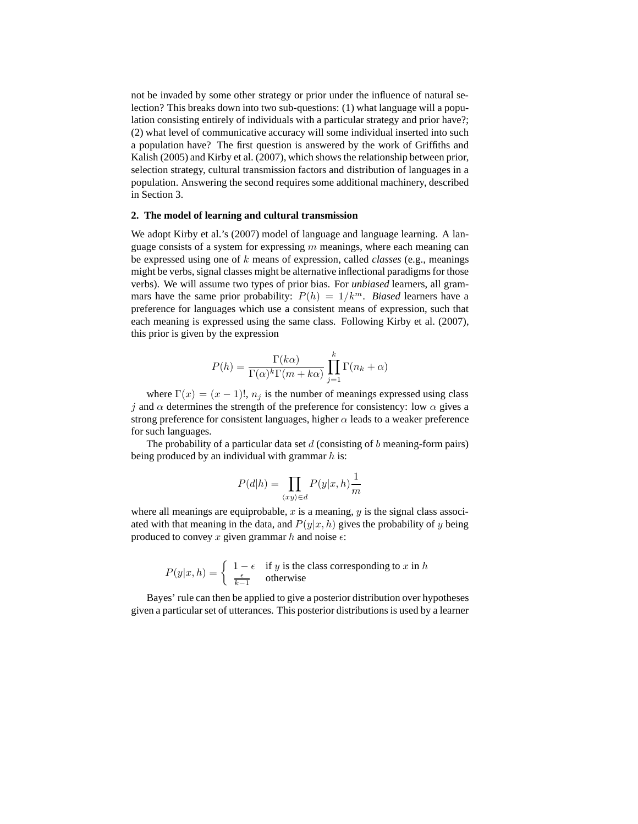not be invaded by some other strategy or prior under the influence of natural selection? This breaks down into two sub-questions: (1) what language will a population consisting entirely of individuals with a particular strategy and prior have?; (2) what level of communicative accuracy will some individual inserted into such a population have? The first question is answered by the work of Griffiths and Kalish (2005) and Kirby et al. (2007), which shows the relationship between prior, selection strategy, cultural transmission factors and distribution of languages in a population. Answering the second requires some additional machinery, described in Section 3.

#### **2. The model of learning and cultural transmission**

We adopt Kirby et al.'s (2007) model of language and language learning. A language consists of a system for expressing  $m$  meanings, where each meaning can be expressed using one of k means of expression, called *classes* (e.g., meanings might be verbs, signal classes might be alternative inflectional paradigms for those verbs). We will assume two types of prior bias. For *unbiased* learners, all grammars have the same prior probability:  $P(h) = 1/k^m$ . *Biased* learners have a preference for languages which use a consistent means of expression, such that each meaning is expressed using the same class. Following Kirby et al. (2007), this prior is given by the expression

$$
P(h) = \frac{\Gamma(k\alpha)}{\Gamma(\alpha)^k \Gamma(m + k\alpha)} \prod_{j=1}^k \Gamma(n_k + \alpha)
$$

where  $\Gamma(x) = (x - 1)!$ ,  $n_i$  is the number of meanings expressed using class j and  $\alpha$  determines the strength of the preference for consistency: low  $\alpha$  gives a strong preference for consistent languages, higher  $\alpha$  leads to a weaker preference for such languages.

The probability of a particular data set  $d$  (consisting of  $b$  meaning-form pairs) being produced by an individual with grammar  $h$  is:

$$
P(d|h) = \prod_{\langle xy \rangle \in d} P(y|x, h) \frac{1}{m}
$$

where all meanings are equiprobable,  $x$  is a meaning,  $y$  is the signal class associated with that meaning in the data, and  $P(y|x, h)$  gives the probability of y being produced to convey x given grammar h and noise  $\epsilon$ :

$$
P(y|x, h) = \begin{cases} 1 - \epsilon & \text{if } y \text{ is the class corresponding to } x \text{ in } h \\ \frac{\epsilon}{k - 1} & \text{otherwise} \end{cases}
$$

Bayes' rule can then be applied to give a posterior distribution over hypotheses given a particular set of utterances. This posterior distributions is used by a learner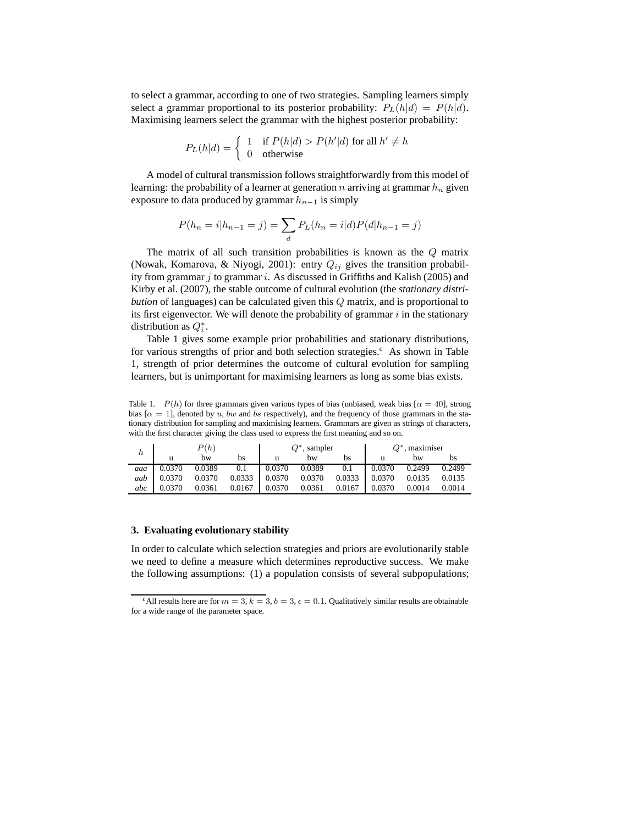to select a grammar, according to one of two strategies. Sampling learners simply select a grammar proportional to its posterior probability:  $P_L(h|d) = P(h|d)$ . Maximising learners select the grammar with the highest posterior probability:

$$
P_L(h|d) = \begin{cases} 1 & \text{if } P(h|d) > P(h'|d) \text{ for all } h' \neq h \\ 0 & \text{otherwise} \end{cases}
$$

A model of cultural transmission follows straightforwardly from this model of learning: the probability of a learner at generation n arriving at grammar  $h_n$  given exposure to data produced by grammar  $h_{n-1}$  is simply

$$
P(h_n = i | h_{n-1} = j) = \sum_{d} P_L(h_n = i | d) P(d | h_{n-1} = j)
$$

The matrix of all such transition probabilities is known as the  $Q$  matrix (Nowak, Komarova, & Niyogi, 2001): entry  $Q_{ij}$  gives the transition probability from grammar j to grammar i. As discussed in Griffiths and Kalish (2005) and Kirby et al. (2007), the stable outcome of cultural evolution (the *stationary distribution* of languages) can be calculated given this Q matrix, and is proportional to its first eigenvector. We will denote the probability of grammar  $i$  in the stationary distribution as  $Q_i^*$ .

Table 1 gives some example prior probabilities and stationary distributions, for various strengths of prior and both selection strategies. $\epsilon$  As shown in Table 1, strength of prior determines the outcome of cultural evolution for sampling learners, but is unimportant for maximising learners as long as some bias exists.

Table 1.  $P(h)$  for three grammars given various types of bias (unbiased, weak bias [ $\alpha = 40$ ], strong bias [ $\alpha = 1$ ], denoted by u, bw and bs respectively), and the frequency of those grammars in the stationary distribution for sampling and maximising learners. Grammars are given as strings of characters, with the first character giving the class used to express the first meaning and so on.

| h     | P(h)               |        |                                     | $Q^*$ , sampler |    |               | $Q^*$ , maximiser |               |        |
|-------|--------------------|--------|-------------------------------------|-----------------|----|---------------|-------------------|---------------|--------|
|       |                    | hw     | bs                                  |                 | hw | bs            |                   | hw            | bs     |
| aaa   | 0.0370             | 0.0389 | 0.1                                 | 0.0370 0.0389   |    | 0.1           | 0.0370            | 0.2499        | 0.2499 |
|       | aab $\vert 0.0370$ | 0.0370 | $0.0333$ $0.0370$ $0.0370$          |                 |    | 0.0333 0.0370 |                   | 0.0135 0.0135 |        |
| $abc$ | 0.0370             |        | $0.0361$ $0.0167$ $0.0370$ $0.0361$ |                 |    |               | $0.0167$ 0.0370   | 0.0014        | 0.0014 |

#### **3. Evaluating evolutionary stability**

In order to calculate which selection strategies and priors are evolutionarily stable we need to define a measure which determines reproductive success. We make the following assumptions: (1) a population consists of several subpopulations;

<sup>&</sup>lt;sup>c</sup>All results here are for  $m = 3$ ,  $k = 3$ ,  $k = 3$ ,  $\epsilon = 0.1$ . Qualitatively similar results are obtainable for a wide range of the parameter space.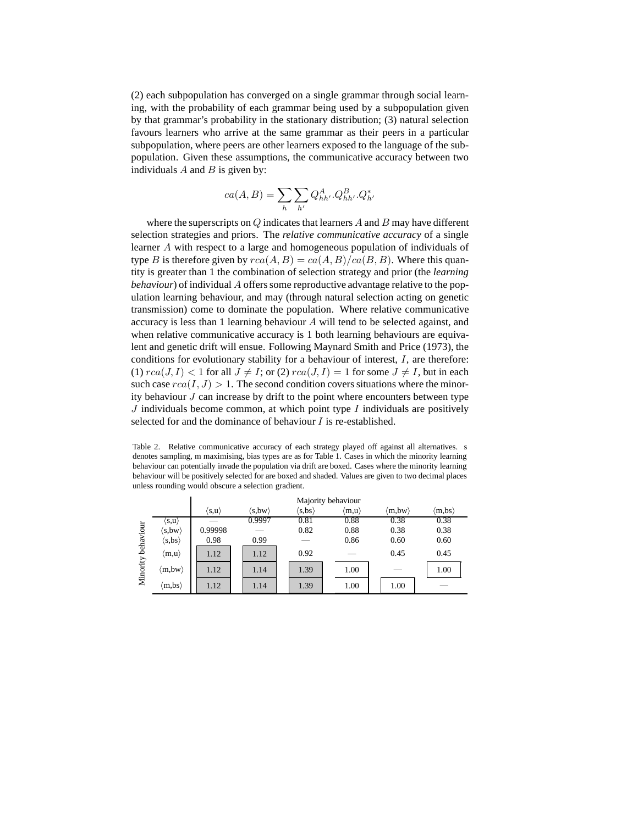(2) each subpopulation has converged on a single grammar through social learning, with the probability of each grammar being used by a subpopulation given by that grammar's probability in the stationary distribution; (3) natural selection favours learners who arrive at the same grammar as their peers in a particular subpopulation, where peers are other learners exposed to the language of the subpopulation. Given these assumptions, the communicative accuracy between two individuals  $A$  and  $B$  is given by:

$$
ca(A, B) = \sum_{h} \sum_{h'} Q_{hh'}^{A} Q_{hh'}^{B} Q_{h'}^{*}
$$

where the superscripts on  $Q$  indicates that learners  $A$  and  $B$  may have different selection strategies and priors. The *relative communicative accuracy* of a single learner A with respect to a large and homogeneous population of individuals of type B is therefore given by  $rca(A, B) = ca(A, B)/ca(B, B)$ . Where this quantity is greater than 1 the combination of selection strategy and prior (the *learning behaviour*) of individual A offers some reproductive advantage relative to the population learning behaviour, and may (through natural selection acting on genetic transmission) come to dominate the population. Where relative communicative accuracy is less than 1 learning behaviour  $\vec{A}$  will tend to be selected against, and when relative communicative accuracy is 1 both learning behaviours are equivalent and genetic drift will ensue. Following Maynard Smith and Price (1973), the conditions for evolutionary stability for a behaviour of interest, I, are therefore: (1)  $rca(J, I) < 1$  for all  $J \neq I$ ; or (2)  $rca(J, I) = 1$  for some  $J \neq I$ , but in each such case  $rca(I, J) > 1$ . The second condition covers situations where the minority behaviour  $J$  can increase by drift to the point where encounters between type  $J$  individuals become common, at which point type  $I$  individuals are positively selected for and the dominance of behaviour  $I$  is re-established.

Table 2. Relative communicative accuracy of each strategy played off against all alternatives. s denotes sampling, m maximising, bias types are as for Table 1. Cases in which the minority learning behaviour can potentially invade the population via drift are boxed. Cases where the minority learning behaviour will be positively selected for are boxed and shaded. Values are given to two decimal places unless rounding would obscure a selection gradient.

|                       |                          | Majority behaviour      |                          |                          |                         |                          |                          |  |  |  |  |
|-----------------------|--------------------------|-------------------------|--------------------------|--------------------------|-------------------------|--------------------------|--------------------------|--|--|--|--|
|                       |                          | $\langle$ s,u $\rangle$ | $\langle$ s.bw $\rangle$ | $\langle$ s,bs $\rangle$ | $\langle$ m,u $\rangle$ | $\langle$ m,bw $\rangle$ | $\langle$ m,bs $\rangle$ |  |  |  |  |
| behaviour<br>Minority | $\langle$ s,u $\rangle$  |                         | 0.9997                   | 0.81                     | 0.88                    | 0.38                     | 0.38                     |  |  |  |  |
|                       | $\langle$ s,bw $\rangle$ | 0.99998                 |                          | 0.82                     | 0.88                    | 0.38                     | 0.38                     |  |  |  |  |
|                       | $\langle$ s,bs $\rangle$ | 0.98                    | 0.99                     |                          | 0.86                    | 0.60                     | 0.60                     |  |  |  |  |
|                       | $\langle$ m,u $\rangle$  | 1.12                    | 1.12                     | 0.92                     |                         | 0.45                     | 0.45                     |  |  |  |  |
|                       | $\langle$ m,bw $\rangle$ | 1.12                    | 1.14                     | 1.39                     | 1.00                    |                          | 1.00                     |  |  |  |  |
|                       | $\langle$ m,bs $\rangle$ | 1.12                    | 1.14                     | 1.39                     | 1.00                    | 1.00                     |                          |  |  |  |  |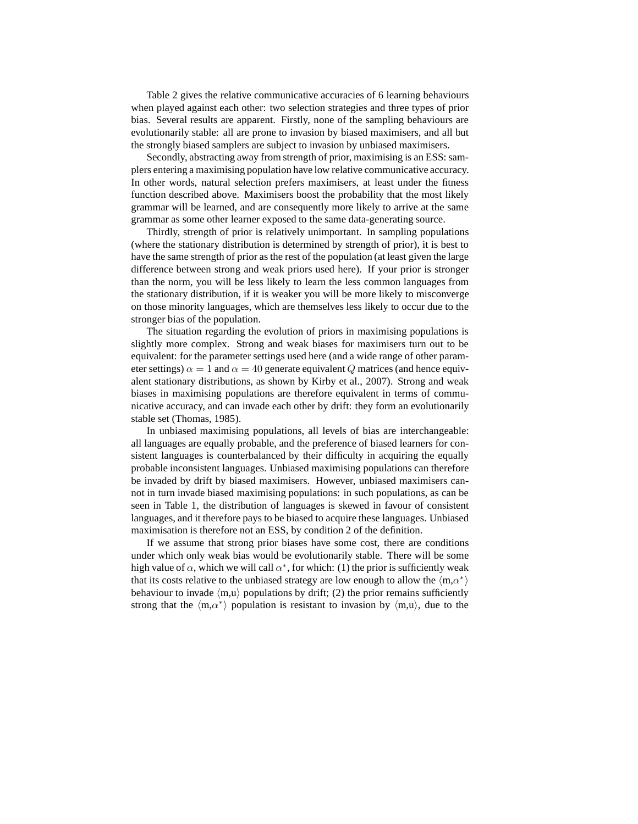Table 2 gives the relative communicative accuracies of 6 learning behaviours when played against each other: two selection strategies and three types of prior bias. Several results are apparent. Firstly, none of the sampling behaviours are evolutionarily stable: all are prone to invasion by biased maximisers, and all but the strongly biased samplers are subject to invasion by unbiased maximisers.

Secondly, abstracting away from strength of prior, maximising is an ESS: samplers entering a maximising population have low relative communicative accuracy. In other words, natural selection prefers maximisers, at least under the fitness function described above. Maximisers boost the probability that the most likely grammar will be learned, and are consequently more likely to arrive at the same grammar as some other learner exposed to the same data-generating source.

Thirdly, strength of prior is relatively unimportant. In sampling populations (where the stationary distribution is determined by strength of prior), it is best to have the same strength of prior as the rest of the population (at least given the large difference between strong and weak priors used here). If your prior is stronger than the norm, you will be less likely to learn the less common languages from the stationary distribution, if it is weaker you will be more likely to misconverge on those minority languages, which are themselves less likely to occur due to the stronger bias of the population.

The situation regarding the evolution of priors in maximising populations is slightly more complex. Strong and weak biases for maximisers turn out to be equivalent: for the parameter settings used here (and a wide range of other parameter settings)  $\alpha = 1$  and  $\alpha = 40$  generate equivalent Q matrices (and hence equivalent stationary distributions, as shown by Kirby et al., 2007). Strong and weak biases in maximising populations are therefore equivalent in terms of communicative accuracy, and can invade each other by drift: they form an evolutionarily stable set (Thomas, 1985).

In unbiased maximising populations, all levels of bias are interchangeable: all languages are equally probable, and the preference of biased learners for consistent languages is counterbalanced by their difficulty in acquiring the equally probable inconsistent languages. Unbiased maximising populations can therefore be invaded by drift by biased maximisers. However, unbiased maximisers cannot in turn invade biased maximising populations: in such populations, as can be seen in Table 1, the distribution of languages is skewed in favour of consistent languages, and it therefore pays to be biased to acquire these languages. Unbiased maximisation is therefore not an ESS, by condition 2 of the definition.

If we assume that strong prior biases have some cost, there are conditions under which only weak bias would be evolutionarily stable. There will be some high value of  $\alpha$ , which we will call  $\alpha^*$ , for which: (1) the prior is sufficiently weak that its costs relative to the unbiased strategy are low enough to allow the  $\langle m, \alpha^* \rangle$ behaviour to invade  $\langle m,u \rangle$  populations by drift; (2) the prior remains sufficiently strong that the  $\langle m,\alpha^* \rangle$  population is resistant to invasion by  $\langle m,u \rangle$ , due to the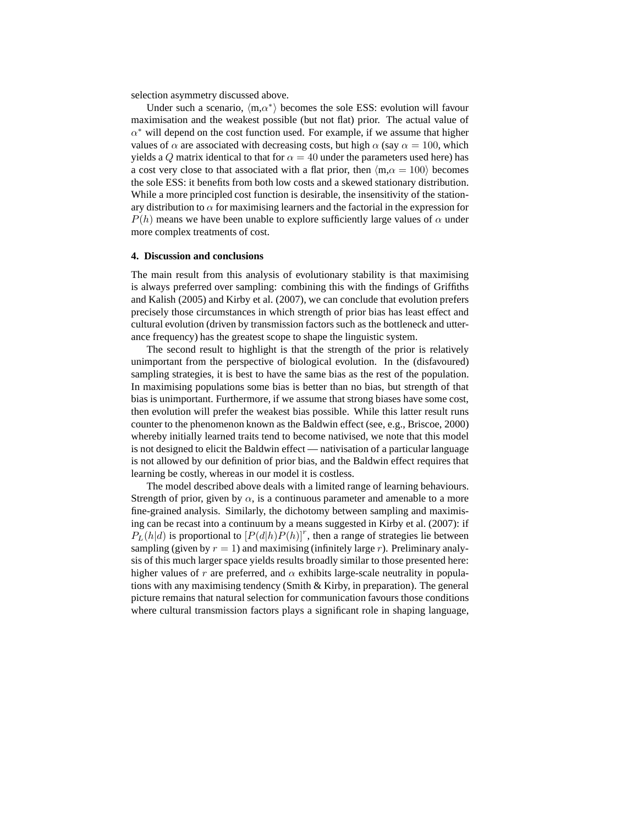selection asymmetry discussed above.

Under such a scenario,  $\langle m, \alpha^* \rangle$  becomes the sole ESS: evolution will favour maximisation and the weakest possible (but not flat) prior. The actual value of  $\alpha^*$  will depend on the cost function used. For example, if we assume that higher values of  $\alpha$  are associated with decreasing costs, but high  $\alpha$  (say  $\alpha = 100$ , which yields a Q matrix identical to that for  $\alpha = 40$  under the parameters used here) has a cost very close to that associated with a flat prior, then  $\langle m, \alpha = 100 \rangle$  becomes the sole ESS: it benefits from both low costs and a skewed stationary distribution. While a more principled cost function is desirable, the insensitivity of the stationary distribution to  $\alpha$  for maximising learners and the factorial in the expression for  $P(h)$  means we have been unable to explore sufficiently large values of  $\alpha$  under more complex treatments of cost.

#### **4. Discussion and conclusions**

The main result from this analysis of evolutionary stability is that maximising is always preferred over sampling: combining this with the findings of Griffiths and Kalish (2005) and Kirby et al. (2007), we can conclude that evolution prefers precisely those circumstances in which strength of prior bias has least effect and cultural evolution (driven by transmission factors such as the bottleneck and utterance frequency) has the greatest scope to shape the linguistic system.

The second result to highlight is that the strength of the prior is relatively unimportant from the perspective of biological evolution. In the (disfavoured) sampling strategies, it is best to have the same bias as the rest of the population. In maximising populations some bias is better than no bias, but strength of that bias is unimportant. Furthermore, if we assume that strong biases have some cost, then evolution will prefer the weakest bias possible. While this latter result runs counter to the phenomenon known as the Baldwin effect (see, e.g., Briscoe, 2000) whereby initially learned traits tend to become nativised, we note that this model is not designed to elicit the Baldwin effect — nativisation of a particular language is not allowed by our definition of prior bias, and the Baldwin effect requires that learning be costly, whereas in our model it is costless.

The model described above deals with a limited range of learning behaviours. Strength of prior, given by  $\alpha$ , is a continuous parameter and amenable to a more fine-grained analysis. Similarly, the dichotomy between sampling and maximising can be recast into a continuum by a means suggested in Kirby et al. (2007): if  $\tilde{P_L}(h|d)$  is proportional to  $[P(d|h)P(h)]^r$ , then a range of strategies lie between sampling (given by  $r = 1$ ) and maximising (infinitely large r). Preliminary analysis of this much larger space yields results broadly similar to those presented here: higher values of r are preferred, and  $\alpha$  exhibits large-scale neutrality in populations with any maximising tendency (Smith & Kirby, in preparation). The general picture remains that natural selection for communication favours those conditions where cultural transmission factors plays a significant role in shaping language,